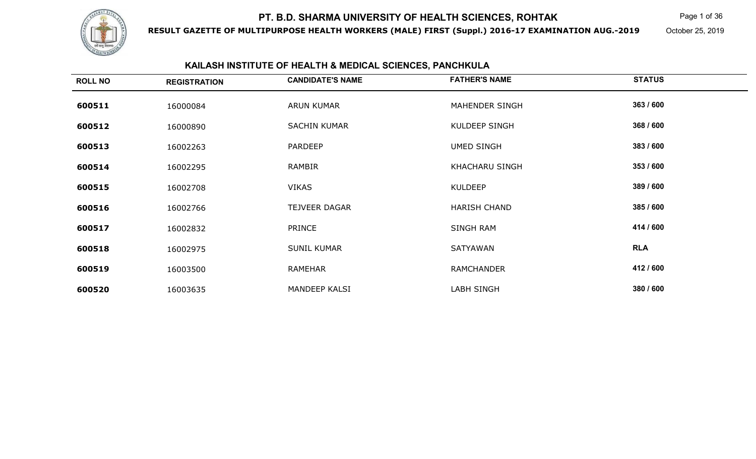

**RESULT GAZETTE OF MULTIPURPOSE HEALTH WORKERS (MALE) FIRST (Suppl.) 2016-17 EXAMINATION AUG.-2019**

Page 1 of 36

October 25, 2019

## **KAILASH INSTITUTE OF HEALTH & MEDICAL SCIENCES, PANCHKULA**

| <b>ROLL NO</b> | <b>REGISTRATION</b> | <b>CANDIDATE'S NAME</b> | <b>FATHER'S NAME</b> | <b>STATUS</b> |
|----------------|---------------------|-------------------------|----------------------|---------------|
| 600511         | 16000084            | ARUN KUMAR              | MAHENDER SINGH       | 363 / 600     |
| 600512         | 16000890            | <b>SACHIN KUMAR</b>     | <b>KULDEEP SINGH</b> | 368 / 600     |
| 600513         | 16002263            | <b>PARDEEP</b>          | <b>UMED SINGH</b>    | 383 / 600     |
| 600514         | 16002295            | <b>RAMBIR</b>           | KHACHARU SINGH       | 353 / 600     |
| 600515         | 16002708            | <b>VIKAS</b>            | <b>KULDEEP</b>       | 389 / 600     |
| 600516         | 16002766            | <b>TEJVEER DAGAR</b>    | <b>HARISH CHAND</b>  | 385 / 600     |
| 600517         | 16002832            | <b>PRINCE</b>           | SINGH RAM            | 414 / 600     |
| 600518         | 16002975            | <b>SUNIL KUMAR</b>      | SATYAWAN             | <b>RLA</b>    |
| 600519         | 16003500            | RAMEHAR                 | <b>RAMCHANDER</b>    | 412 / 600     |
| 600520         | 16003635            | <b>MANDEEP KALSI</b>    | LABH SINGH           | 380 / 600     |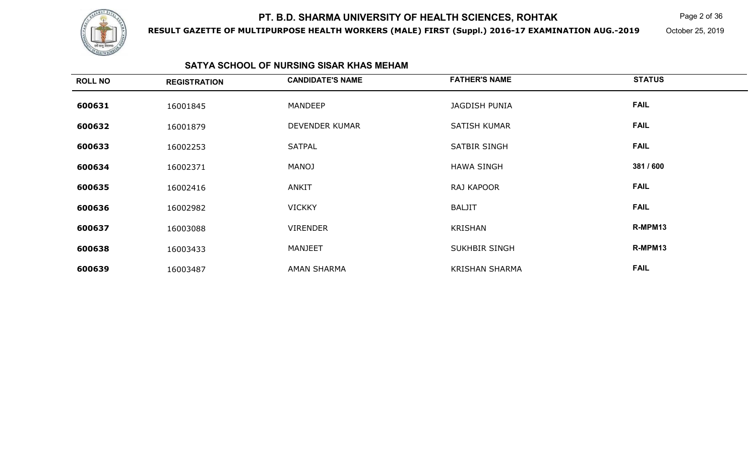

**RESULT GAZETTE OF MULTIPURPOSE HEALTH WORKERS (MALE) FIRST (Suppl.) 2016-17 EXAMINATION AUG.-2019**

 $\mathsf K$  Page 2 of 36

October 25, 2019

#### **SATYA SCHOOL OF NURSING SISAR KHAS MEHAM**

| <b>ROLL NO</b> | <b>REGISTRATION</b> | <b>CANDIDATE'S NAME</b> | <b>FATHER'S NAME</b>  | <b>STATUS</b> |
|----------------|---------------------|-------------------------|-----------------------|---------------|
| 600631         | 16001845            | <b>MANDEEP</b>          | <b>JAGDISH PUNIA</b>  | <b>FAIL</b>   |
| 600632         | 16001879            | DEVENDER KUMAR          | <b>SATISH KUMAR</b>   | <b>FAIL</b>   |
| 600633         | 16002253            | <b>SATPAL</b>           | SATBIR SINGH          | <b>FAIL</b>   |
| 600634         | 16002371            | <b>MANOJ</b>            | <b>HAWA SINGH</b>     | 381 / 600     |
| 600635         | 16002416            | <b>ANKIT</b>            | RAJ KAPOOR            | <b>FAIL</b>   |
| 600636         | 16002982            | <b>VICKKY</b>           | <b>BALJIT</b>         | <b>FAIL</b>   |
| 600637         | 16003088            | <b>VIRENDER</b>         | KRISHAN               | R-MPM13       |
| 600638         | 16003433            | <b>MANJEET</b>          | <b>SUKHBIR SINGH</b>  | R-MPM13       |
| 600639         | 16003487            | <b>AMAN SHARMA</b>      | <b>KRISHAN SHARMA</b> | <b>FAIL</b>   |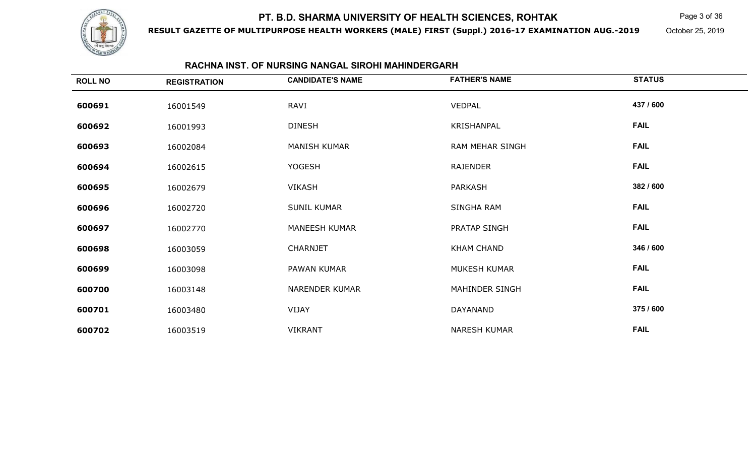

**RESULT GAZETTE OF MULTIPURPOSE HEALTH WORKERS (MALE) FIRST (Suppl.) 2016-17 EXAMINATION AUG.-2019**

Page 3 of 36

October 25, 2019

#### **RACHNA INST. OF NURSING NANGAL SIROHI MAHINDERGARH**

| <b>ROLL NO</b> | <b>REGISTRATION</b> | <b>CANDIDATE'S NAME</b> | <b>FATHER'S NAME</b>   | <b>STATUS</b> |
|----------------|---------------------|-------------------------|------------------------|---------------|
| 600691         | 16001549            | RAVI                    | <b>VEDPAL</b>          | 437 / 600     |
| 600692         | 16001993            | <b>DINESH</b>           | KRISHANPAL             | <b>FAIL</b>   |
| 600693         | 16002084            | <b>MANISH KUMAR</b>     | <b>RAM MEHAR SINGH</b> | <b>FAIL</b>   |
| 600694         | 16002615            | <b>YOGESH</b>           | RAJENDER               | <b>FAIL</b>   |
| 600695         | 16002679            | <b>VIKASH</b>           | PARKASH                | 382 / 600     |
| 600696         | 16002720            | <b>SUNIL KUMAR</b>      | SINGHA RAM             | <b>FAIL</b>   |
| 600697         | 16002770            | <b>MANEESH KUMAR</b>    | PRATAP SINGH           | <b>FAIL</b>   |
| 600698         | 16003059            | <b>CHARNJET</b>         | <b>KHAM CHAND</b>      | 346 / 600     |
| 600699         | 16003098            | PAWAN KUMAR             | MUKESH KUMAR           | <b>FAIL</b>   |
| 600700         | 16003148            | <b>NARENDER KUMAR</b>   | MAHINDER SINGH         | <b>FAIL</b>   |
| 600701         | 16003480            | VIJAY                   | DAYANAND               | 375 / 600     |
| 600702         | 16003519            | <b>VIKRANT</b>          | <b>NARESH KUMAR</b>    | <b>FAIL</b>   |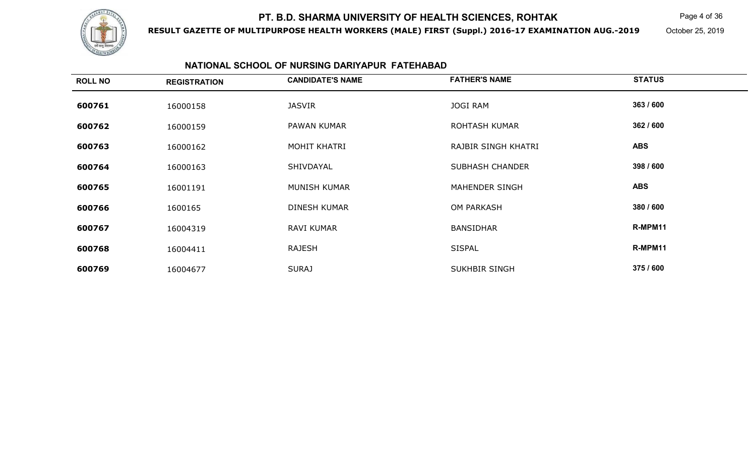

**RESULT GAZETTE OF MULTIPURPOSE HEALTH WORKERS (MALE) FIRST (Suppl.) 2016-17 EXAMINATION AUG.-2019**

Page 4 of 36

October 25, 2019

#### **NATIONAL SCHOOL OF NURSING DARIYAPUR FATEHABAD**

| <b>ROLL NO</b> | <b>REGISTRATION</b> | <b>CANDIDATE'S NAME</b> | <b>FATHER'S NAME</b>   | <b>STATUS</b> |
|----------------|---------------------|-------------------------|------------------------|---------------|
| 600761         | 16000158            | <b>JASVIR</b>           | <b>JOGI RAM</b>        | 363 / 600     |
| 600762         | 16000159            | PAWAN KUMAR             | <b>ROHTASH KUMAR</b>   | 362 / 600     |
| 600763         | 16000162            | MOHIT KHATRI            | RAJBIR SINGH KHATRI    | <b>ABS</b>    |
| 600764         | 16000163            | SHIVDAYAL               | <b>SUBHASH CHANDER</b> | 398 / 600     |
| 600765         | 16001191            | MUNISH KUMAR            | MAHENDER SINGH         | <b>ABS</b>    |
| 600766         | 1600165             | <b>DINESH KUMAR</b>     | <b>OM PARKASH</b>      | 380 / 600     |
| 600767         | 16004319            | <b>RAVI KUMAR</b>       | <b>BANSIDHAR</b>       | R-MPM11       |
| 600768         | 16004411            | <b>RAJESH</b>           | <b>SISPAL</b>          | R-MPM11       |
| 600769         | 16004677            | <b>SURAJ</b>            | <b>SUKHBIR SINGH</b>   | 375 / 600     |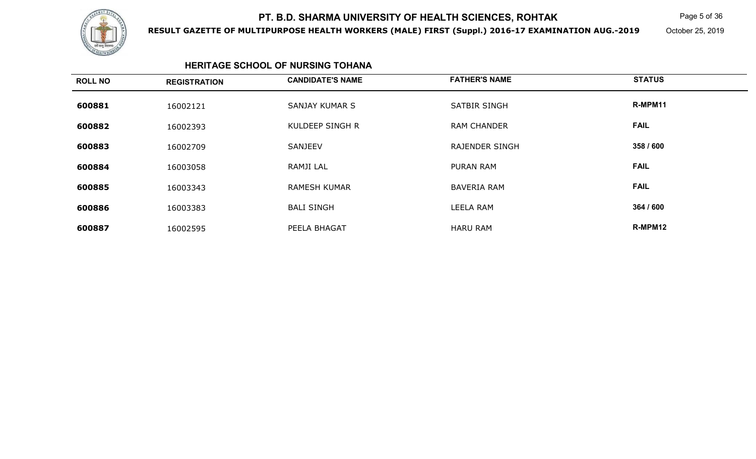

**RESULT GAZETTE OF MULTIPURPOSE HEALTH WORKERS (MALE) FIRST (Suppl.) 2016-17 EXAMINATION AUG.-2019**

 $\mathsf K$  Page 5 of 36

October 25, 2019

#### **HERITAGE SCHOOL OF NURSING TOHANA**

| <b>ROLL NO</b> | <b>REGISTRATION</b> | <b>CANDIDATE'S NAME</b> | <b>FATHER'S NAME</b>  | <b>STATUS</b> |
|----------------|---------------------|-------------------------|-----------------------|---------------|
| 600881         | 16002121            | SANJAY KUMAR S          | <b>SATBIR SINGH</b>   | R-MPM11       |
| 600882         | 16002393            | KULDEEP SINGH R         | <b>RAM CHANDER</b>    | <b>FAIL</b>   |
| 600883         | 16002709            | <b>SANJEEV</b>          | <b>RAJENDER SINGH</b> | 358 / 600     |
| 600884         | 16003058            | RAMJI LAL               | PURAN RAM             | <b>FAIL</b>   |
| 600885         | 16003343            | <b>RAMESH KUMAR</b>     | <b>BAVERIA RAM</b>    | <b>FAIL</b>   |
| 600886         | 16003383            | <b>BALI SINGH</b>       | LEELA RAM             | 364 / 600     |
| 600887         | 16002595            | PEELA BHAGAT            | <b>HARU RAM</b>       | R-MPM12       |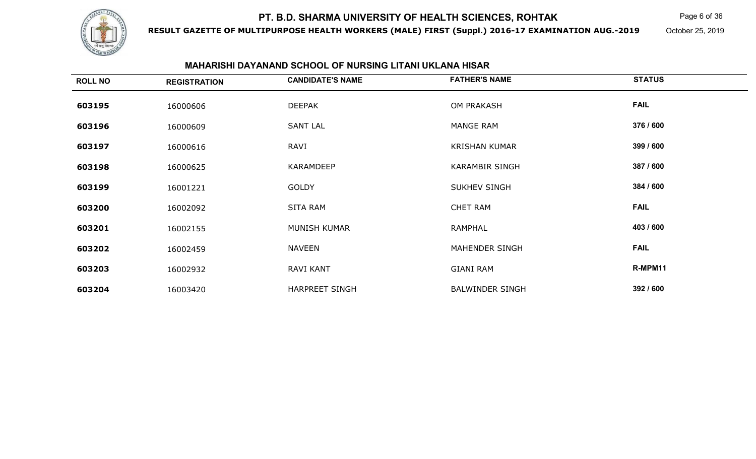

**RESULT GAZETTE OF MULTIPURPOSE HEALTH WORKERS (MALE) FIRST (Suppl.) 2016-17 EXAMINATION AUG.-2019**

Page 6 of 36

October 25, 2019

#### **MAHARISHI DAYANAND SCHOOL OF NURSING LITANI UKLANA HISAR**

| <b>ROLL NO</b> | <b>REGISTRATION</b> | <b>CANDIDATE'S NAME</b> | <b>FATHER'S NAME</b>   | <b>STATUS</b> |
|----------------|---------------------|-------------------------|------------------------|---------------|
| 603195         | 16000606            | <b>DEEPAK</b>           | OM PRAKASH             | <b>FAIL</b>   |
| 603196         | 16000609            | <b>SANT LAL</b>         | MANGE RAM              | 376 / 600     |
| 603197         | 16000616            | RAVI                    | <b>KRISHAN KUMAR</b>   | 399 / 600     |
| 603198         | 16000625            | <b>KARAMDEEP</b>        | <b>KARAMBIR SINGH</b>  | 387 / 600     |
| 603199         | 16001221            | <b>GOLDY</b>            | <b>SUKHEV SINGH</b>    | 384 / 600     |
| 603200         | 16002092            | <b>SITA RAM</b>         | <b>CHET RAM</b>        | <b>FAIL</b>   |
| 603201         | 16002155            | MUNISH KUMAR            | <b>RAMPHAL</b>         | 403 / 600     |
| 603202         | 16002459            | <b>NAVEEN</b>           | MAHENDER SINGH         | <b>FAIL</b>   |
| 603203         | 16002932            | <b>RAVI KANT</b>        | <b>GIANI RAM</b>       | R-MPM11       |
| 603204         | 16003420            | <b>HARPREET SINGH</b>   | <b>BALWINDER SINGH</b> | 392 / 600     |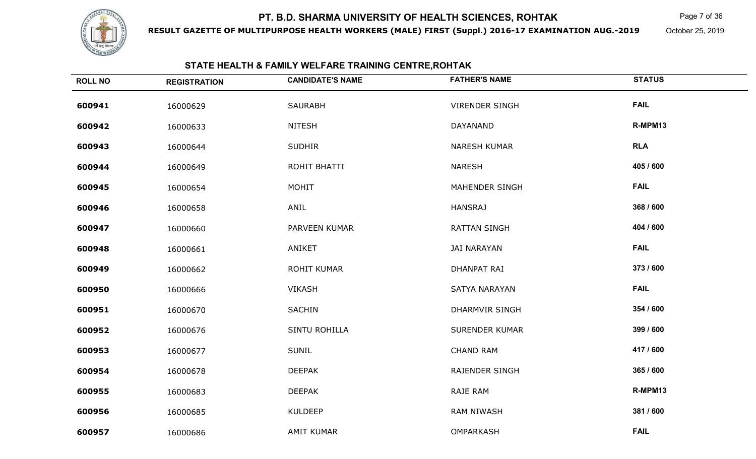

**RESULT GAZETTE OF MULTIPURPOSE HEALTH WORKERS (MALE) FIRST (Suppl.) 2016-17 EXAMINATION AUG.-2019**

Page 7 of 36

October 25, 2019

#### **STATE HEALTH & FAMILY WELFARE TRAINING CENTRE,ROHTAK**

| <b>ROLL NO</b> | <b>REGISTRATION</b> | <b>CANDIDATE'S NAME</b> | <b>FATHER'S NAME</b>  | <b>STATUS</b> |
|----------------|---------------------|-------------------------|-----------------------|---------------|
| 600941         | 16000629            | <b>SAURABH</b>          | <b>VIRENDER SINGH</b> | <b>FAIL</b>   |
| 600942         | 16000633            | <b>NITESH</b>           | DAYANAND              | R-MPM13       |
| 600943         | 16000644            | <b>SUDHIR</b>           | NARESH KUMAR          | <b>RLA</b>    |
| 600944         | 16000649            | ROHIT BHATTI            | <b>NARESH</b>         | 405 / 600     |
| 600945         | 16000654            | MOHIT                   | MAHENDER SINGH        | <b>FAIL</b>   |
| 600946         | 16000658            | ANIL                    | <b>HANSRAJ</b>        | 368 / 600     |
| 600947         | 16000660            | PARVEEN KUMAR           | <b>RATTAN SINGH</b>   | 404 / 600     |
| 600948         | 16000661            | ANIKET                  | <b>JAI NARAYAN</b>    | <b>FAIL</b>   |
| 600949         | 16000662            | <b>ROHIT KUMAR</b>      | DHANPAT RAI           | 373 / 600     |
| 600950         | 16000666            | <b>VIKASH</b>           | SATYA NARAYAN         | <b>FAIL</b>   |
| 600951         | 16000670            | SACHIN                  | <b>DHARMVIR SINGH</b> | 354 / 600     |
| 600952         | 16000676            | SINTU ROHILLA           | <b>SURENDER KUMAR</b> | 399 / 600     |
| 600953         | 16000677            | <b>SUNIL</b>            | <b>CHAND RAM</b>      | 417 / 600     |
| 600954         | 16000678            | <b>DEEPAK</b>           | <b>RAJENDER SINGH</b> | 365 / 600     |
| 600955         | 16000683            | <b>DEEPAK</b>           | RAJE RAM              | R-MPM13       |
| 600956         | 16000685            | <b>KULDEEP</b>          | <b>RAM NIWASH</b>     | 381 / 600     |
| 600957         | 16000686            | <b>AMIT KUMAR</b>       | OMPARKASH             | <b>FAIL</b>   |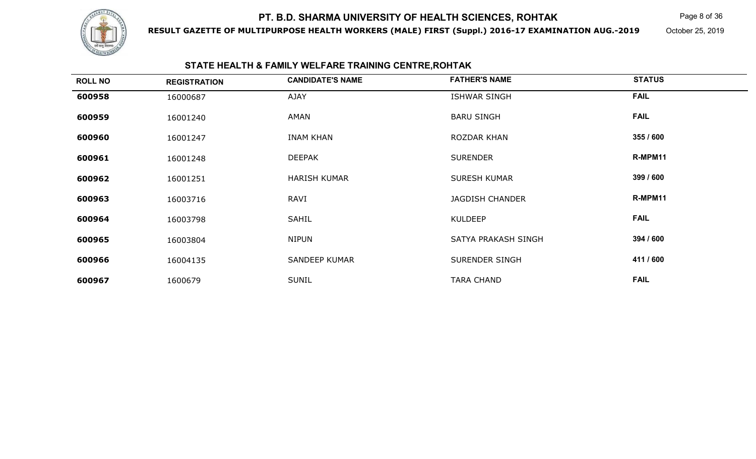

**RESULT GAZETTE OF MULTIPURPOSE HEALTH WORKERS (MALE) FIRST (Suppl.) 2016-17 EXAMINATION AUG.-2019**

 $\mathsf K$  Page 8 of 36

October 25, 2019

#### **STATE HEALTH & FAMILY WELFARE TRAINING CENTRE,ROHTAK**

| <b>ROLL NO</b> | <b>REGISTRATION</b> | <b>CANDIDATE'S NAME</b> | <b>FATHER'S NAME</b>   | <b>STATUS</b> |  |
|----------------|---------------------|-------------------------|------------------------|---------------|--|
| 600958         | 16000687            | <b>AJAY</b>             | <b>ISHWAR SINGH</b>    | <b>FAIL</b>   |  |
| 600959         | 16001240            | AMAN                    | <b>BARU SINGH</b>      | <b>FAIL</b>   |  |
| 600960         | 16001247            | <b>INAM KHAN</b>        | ROZDAR KHAN            | 355 / 600     |  |
| 600961         | 16001248            | <b>DEEPAK</b>           | <b>SURENDER</b>        | R-MPM11       |  |
| 600962         | 16001251            | <b>HARISH KUMAR</b>     | <b>SURESH KUMAR</b>    | 399 / 600     |  |
| 600963         | 16003716            | RAVI                    | <b>JAGDISH CHANDER</b> | R-MPM11       |  |
| 600964         | 16003798            | <b>SAHIL</b>            | <b>KULDEEP</b>         | <b>FAIL</b>   |  |
| 600965         | 16003804            | <b>NIPUN</b>            | SATYA PRAKASH SINGH    | 394 / 600     |  |
| 600966         | 16004135            | <b>SANDEEP KUMAR</b>    | SURENDER SINGH         | 411 / 600     |  |
| 600967         | 1600679             | <b>SUNIL</b>            | <b>TARA CHAND</b>      | <b>FAIL</b>   |  |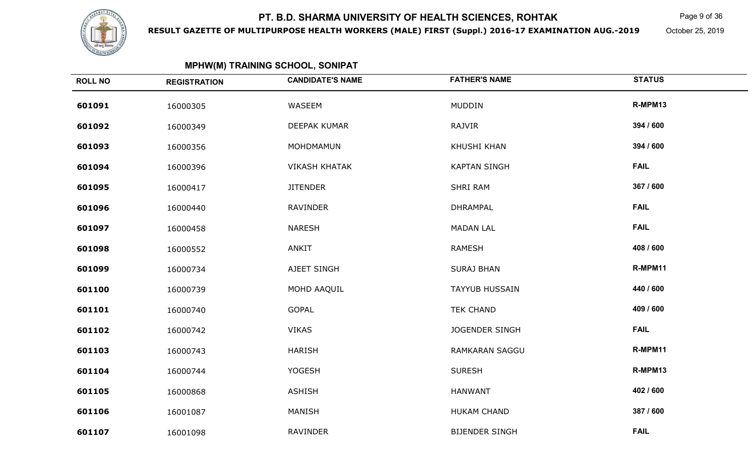

**RESULT GAZETTE OF MULTIPURPOSE HEALTH WORKERS (MALE) FIRST (Suppl.) 2016-17 EXAMINATION AUG.-2019**

 $\mathsf K$  Page 9 of 36

October 25, 2019

| <b>MPHW(M) TRAINING SCHOOL, SONIPAT</b> |
|-----------------------------------------|
|-----------------------------------------|

| <b>ROLL NO</b> | <b>REGISTRATION</b> | <b>CANDIDATE'S NAME</b> | <b>FATHER'S NAME</b>  | <b>STATUS</b> |
|----------------|---------------------|-------------------------|-----------------------|---------------|
| 601091         | 16000305            | WASEEM                  | <b>MUDDIN</b>         | R-MPM13       |
| 601092         | 16000349            | DEEPAK KUMAR            | RAJVIR                | 394 / 600     |
| 601093         | 16000356            | MOHDMAMUN               | <b>KHUSHI KHAN</b>    | 394 / 600     |
| 601094         | 16000396            | <b>VIKASH KHATAK</b>    | <b>KAPTAN SINGH</b>   | <b>FAIL</b>   |
| 601095         | 16000417            | <b>JITENDER</b>         | SHRI RAM              | 367 / 600     |
| 601096         | 16000440            | <b>RAVINDER</b>         | <b>DHRAMPAL</b>       | <b>FAIL</b>   |
| 601097         | 16000458            | <b>NARESH</b>           | <b>MADAN LAL</b>      | <b>FAIL</b>   |
| 601098         | 16000552            | ANKIT                   | <b>RAMESH</b>         | 408 / 600     |
| 601099         | 16000734            | AJEET SINGH             | <b>SURAJ BHAN</b>     | R-MPM11       |
| 601100         | 16000739            | MOHD AAQUIL             | <b>TAYYUB HUSSAIN</b> | 440 / 600     |
| 601101         | 16000740            | <b>GOPAL</b>            | <b>TEK CHAND</b>      | 409 / 600     |
| 601102         | 16000742            | <b>VIKAS</b>            | JOGENDER SINGH        | <b>FAIL</b>   |
| 601103         | 16000743            | <b>HARISH</b>           | RAMKARAN SAGGU        | R-MPM11       |
| 601104         | 16000744            | <b>YOGESH</b>           | <b>SURESH</b>         | R-MPM13       |
| 601105         | 16000868            | <b>ASHISH</b>           | <b>HANWANT</b>        | 402 / 600     |
| 601106         | 16001087            | MANISH                  | <b>HUKAM CHAND</b>    | 387 / 600     |
| 601107         | 16001098            | <b>RAVINDER</b>         | <b>BIJENDER SINGH</b> | <b>FAIL</b>   |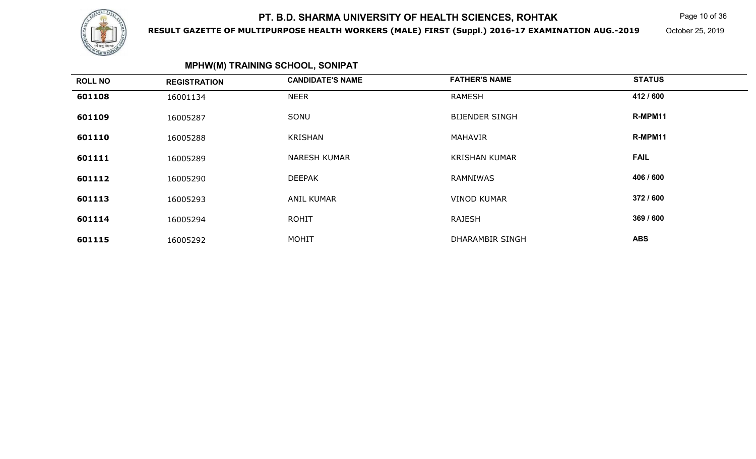

**RESULT GAZETTE OF MULTIPURPOSE HEALTH WORKERS (MALE) FIRST (Suppl.) 2016-17 EXAMINATION AUG.-2019**

Page 10 of 36

October 25, 2019

## **MPHW(M) TRAINING SCHOOL, SONIPAT**

| <b>ROLL NO</b> | <b>REGISTRATION</b> | <b>CANDIDATE'S NAME</b> | <b>FATHER'S NAME</b>   | <b>STATUS</b> |  |
|----------------|---------------------|-------------------------|------------------------|---------------|--|
| 601108         | 16001134            | <b>NEER</b>             | <b>RAMESH</b>          | 412 / 600     |  |
| 601109         | 16005287            | SONU                    | <b>BIJENDER SINGH</b>  | R-MPM11       |  |
| 601110         | 16005288            | KRISHAN                 | MAHAVIR                | R-MPM11       |  |
| 601111         | 16005289            | <b>NARESH KUMAR</b>     | <b>KRISHAN KUMAR</b>   | <b>FAIL</b>   |  |
| 601112         | 16005290            | <b>DEEPAK</b>           | RAMNIWAS               | 406 / 600     |  |
| 601113         | 16005293            | <b>ANIL KUMAR</b>       | <b>VINOD KUMAR</b>     | 372 / 600     |  |
| 601114         | 16005294            | <b>ROHIT</b>            | <b>RAJESH</b>          | 369 / 600     |  |
| 601115         | 16005292            | <b>MOHIT</b>            | <b>DHARAMBIR SINGH</b> | <b>ABS</b>    |  |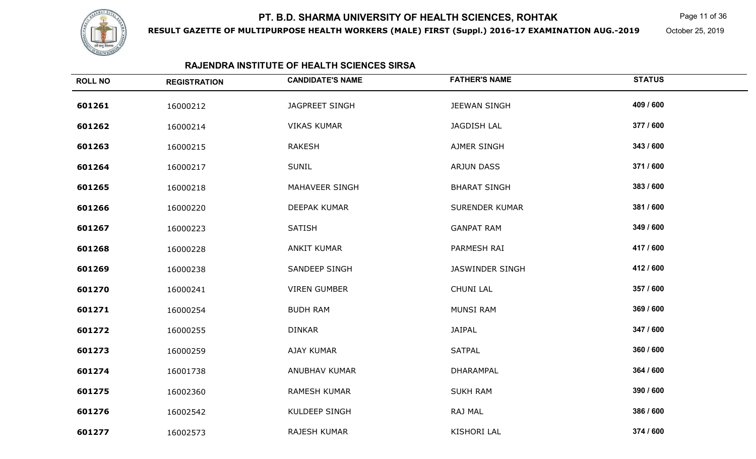

**RESULT GAZETTE OF MULTIPURPOSE HEALTH WORKERS (MALE) FIRST (Suppl.) 2016-17 EXAMINATION AUG.-2019**

Page 11 of 36

October 25, 2019

### **RAJENDRA INSTITUTE OF HEALTH SCIENCES SIRSA**

| <b>ROLL NO</b> | <b>REGISTRATION</b> | <b>CANDIDATE'S NAME</b> | <b>FATHER'S NAME</b>   | <b>STATUS</b> |
|----------------|---------------------|-------------------------|------------------------|---------------|
| 601261         | 16000212            | <b>JAGPREET SINGH</b>   | <b>JEEWAN SINGH</b>    | 409 / 600     |
| 601262         | 16000214            | <b>VIKAS KUMAR</b>      | <b>JAGDISH LAL</b>     | 377 / 600     |
| 601263         | 16000215            | <b>RAKESH</b>           | AJMER SINGH            | 343 / 600     |
| 601264         | 16000217            | <b>SUNIL</b>            | <b>ARJUN DASS</b>      | 371 / 600     |
| 601265         | 16000218            | MAHAVEER SINGH          | <b>BHARAT SINGH</b>    | 383 / 600     |
| 601266         | 16000220            | DEEPAK KUMAR            | <b>SURENDER KUMAR</b>  | 381 / 600     |
| 601267         | 16000223            | <b>SATISH</b>           | <b>GANPAT RAM</b>      | 349 / 600     |
| 601268         | 16000228            | <b>ANKIT KUMAR</b>      | PARMESH RAI            | 417 / 600     |
| 601269         | 16000238            | SANDEEP SINGH           | <b>JASWINDER SINGH</b> | 412 / 600     |
| 601270         | 16000241            | <b>VIREN GUMBER</b>     | <b>CHUNI LAL</b>       | 357 / 600     |
| 601271         | 16000254            | <b>BUDH RAM</b>         | <b>MUNSI RAM</b>       | 369 / 600     |
| 601272         | 16000255            | <b>DINKAR</b>           | <b>JAIPAL</b>          | 347 / 600     |
| 601273         | 16000259            | AJAY KUMAR              | <b>SATPAL</b>          | 360 / 600     |
| 601274         | 16001738            | ANUBHAV KUMAR           | DHARAMPAL              | 364 / 600     |
| 601275         | 16002360            | RAMESH KUMAR            | <b>SUKH RAM</b>        | 390 / 600     |
| 601276         | 16002542            | KULDEEP SINGH           | RAJ MAL                | 386 / 600     |
| 601277         | 16002573            | RAJESH KUMAR            | <b>KISHORI LAL</b>     | 374 / 600     |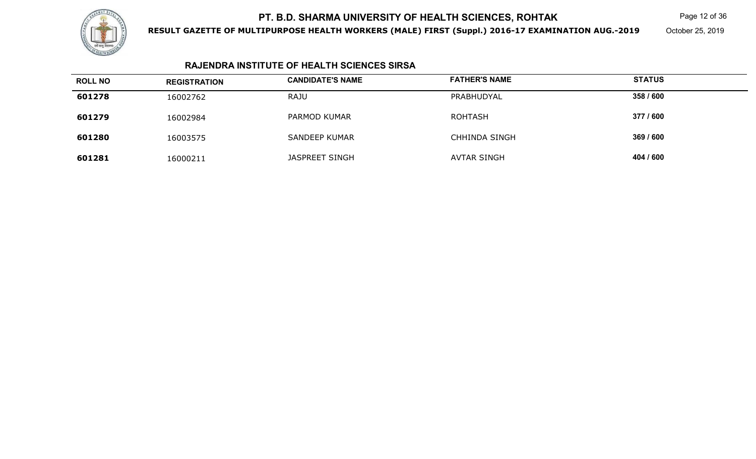

**RESULT GAZETTE OF MULTIPURPOSE HEALTH WORKERS (MALE) FIRST (Suppl.) 2016-17 EXAMINATION AUG.-2019**

Page 12 of 36

October 25, 2019

### **RAJENDRA INSTITUTE OF HEALTH SCIENCES SIRSA**

| <b>ROLL NO</b> | <b>REGISTRATION</b> | <b>CANDIDATE'S NAME</b> | <b>FATHER'S NAME</b> | <b>STATUS</b> |
|----------------|---------------------|-------------------------|----------------------|---------------|
| 601278         | 16002762            | <b>RAJU</b>             | PRABHUDYAL           | 358 / 600     |
| 601279         | 16002984            | PARMOD KUMAR            | <b>ROHTASH</b>       | 377 / 600     |
| 601280         | 16003575            | <b>SANDEEP KUMAR</b>    | <b>CHHINDA SINGH</b> | 369 / 600     |
| 601281         | 16000211            | JASPREET SINGH          | <b>AVTAR SINGH</b>   | 404 / 600     |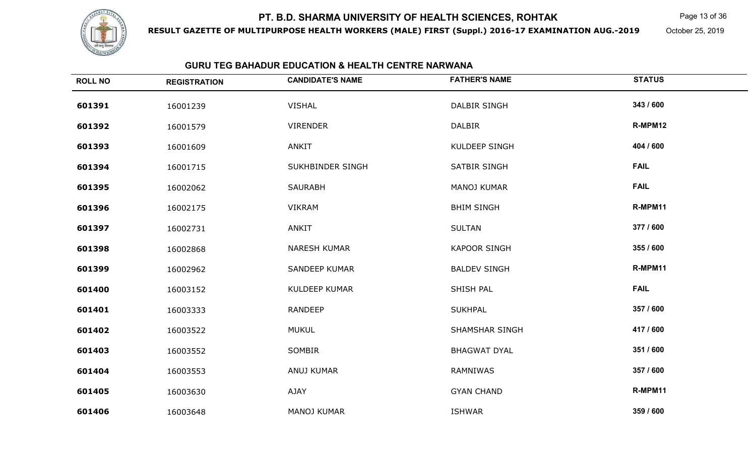

**RESULT GAZETTE OF MULTIPURPOSE HEALTH WORKERS (MALE) FIRST (Suppl.) 2016-17 EXAMINATION AUG.-2019**

Page 13 of 36

October 25, 2019

### **GURU TEG BAHADUR EDUCATION & HEALTH CENTRE NARWANA**

| <b>ROLL NO</b> | <b>REGISTRATION</b> | <b>CANDIDATE'S NAME</b> | <b>FATHER'S NAME</b>  | <b>STATUS</b> |
|----------------|---------------------|-------------------------|-----------------------|---------------|
| 601391         | 16001239            | <b>VISHAL</b>           | <b>DALBIR SINGH</b>   | 343 / 600     |
| 601392         | 16001579            | <b>VIRENDER</b>         | <b>DALBIR</b>         | R-MPM12       |
| 601393         | 16001609            | ANKIT                   | <b>KULDEEP SINGH</b>  | 404 / 600     |
| 601394         | 16001715            | SUKHBINDER SINGH        | <b>SATBIR SINGH</b>   | <b>FAIL</b>   |
| 601395         | 16002062            | <b>SAURABH</b>          | <b>MANOJ KUMAR</b>    | <b>FAIL</b>   |
| 601396         | 16002175            | <b>VIKRAM</b>           | <b>BHIM SINGH</b>     | R-MPM11       |
| 601397         | 16002731            | ANKIT                   | <b>SULTAN</b>         | 377 / 600     |
| 601398         | 16002868            | <b>NARESH KUMAR</b>     | <b>KAPOOR SINGH</b>   | 355 / 600     |
| 601399         | 16002962            | <b>SANDEEP KUMAR</b>    | <b>BALDEV SINGH</b>   | R-MPM11       |
| 601400         | 16003152            | <b>KULDEEP KUMAR</b>    | SHISH PAL             | <b>FAIL</b>   |
| 601401         | 16003333            | <b>RANDEEP</b>          | <b>SUKHPAL</b>        | 357 / 600     |
| 601402         | 16003522            | <b>MUKUL</b>            | <b>SHAMSHAR SINGH</b> | 417 / 600     |
| 601403         | 16003552            | SOMBIR                  | <b>BHAGWAT DYAL</b>   | 351 / 600     |
| 601404         | 16003553            | ANUJ KUMAR              | RAMNIWAS              | 357 / 600     |
| 601405         | 16003630            | AJAY                    | <b>GYAN CHAND</b>     | R-MPM11       |
| 601406         | 16003648            | MANOJ KUMAR             | <b>ISHWAR</b>         | 359 / 600     |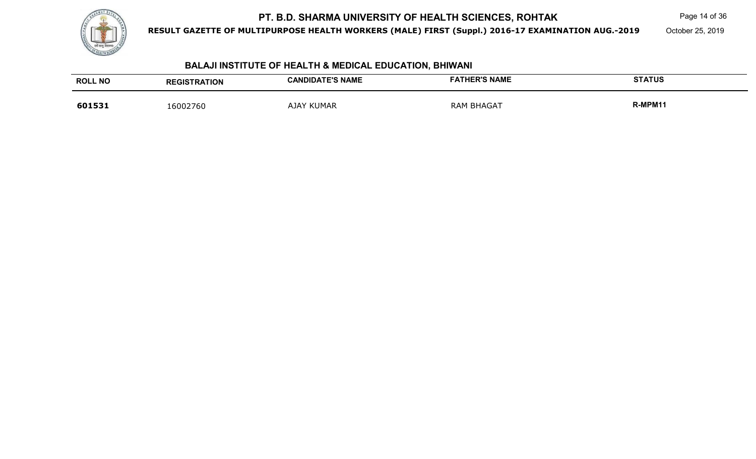

**RESULT GAZETTE OF MULTIPURPOSE HEALTH WORKERS (MALE) FIRST (Suppl.) 2016-17 EXAMINATION AUG.-2019**

Page 14 of 36

October 25, 2019

### **BALAJI INSTITUTE OF HEALTH & MEDICAL EDUCATION, BHIWANI**

| <b>ROLL NO</b> | <b>REGISTRATION</b> | <b>CANDIDATE'S NAME</b> | <b>FATHER'S NAME</b> | <b>STATUS</b> |
|----------------|---------------------|-------------------------|----------------------|---------------|
| 601531         | 16002760            | <b>AJAY KUMAR</b>       | <b>RAM BHAGAT</b>    | R-MPM11       |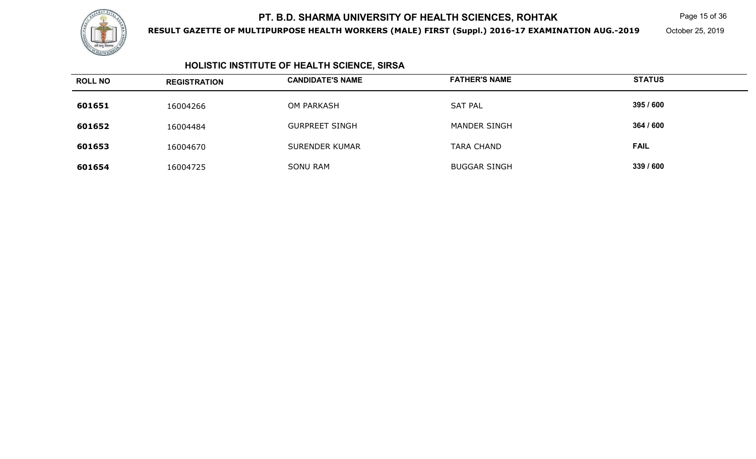

**RESULT GAZETTE OF MULTIPURPOSE HEALTH WORKERS (MALE) FIRST (Suppl.) 2016-17 EXAMINATION AUG.-2019**

Page 15 of 36

October 25, 2019

## **HOLISTIC INSTITUTE OF HEALTH SCIENCE, SIRSA**

| <b>ROLL NO</b> | <b>REGISTRATION</b> | <b>CANDIDATE'S NAME</b> | <b>FATHER'S NAME</b> | <b>STATUS</b> |
|----------------|---------------------|-------------------------|----------------------|---------------|
| 601651         | 16004266            | <b>OM PARKASH</b>       | <b>SAT PAL</b>       | 395 / 600     |
| 601652         | 16004484            | <b>GURPREET SINGH</b>   | <b>MANDER SINGH</b>  | 364 / 600     |
| 601653         | 16004670            | SURENDER KUMAR          | <b>TARA CHAND</b>    | <b>FAIL</b>   |
| 601654         | 16004725            | <b>SONU RAM</b>         | <b>BUGGAR SINGH</b>  | 339 / 600     |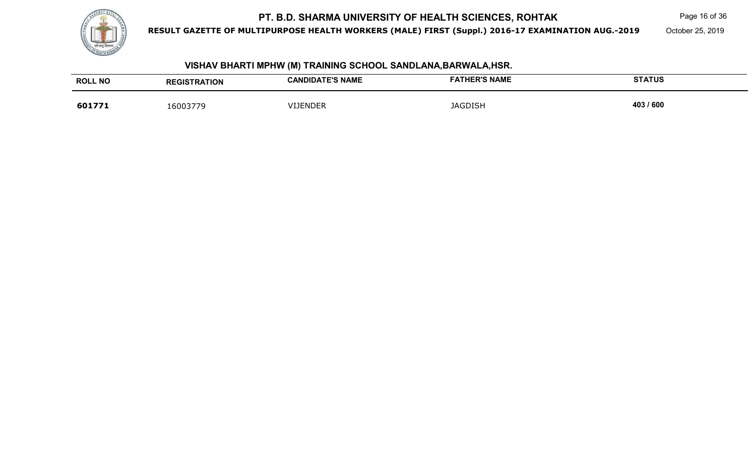

**RESULT GAZETTE OF MULTIPURPOSE HEALTH WORKERS (MALE) FIRST (Suppl.) 2016-17 EXAMINATION AUG.-2019**

Page 16 of 36

October 25, 2019

#### **ROLL NO REGISTRATION CANDIDATE'S NAME FATHER'S NAME STATUS 6017711** 16003779 VIJENDER JAGDISH **403 / 600**

**VISHAV BHARTI MPHW (M) TRAINING SCHOOL SANDLANA,BARWALA,HSR.**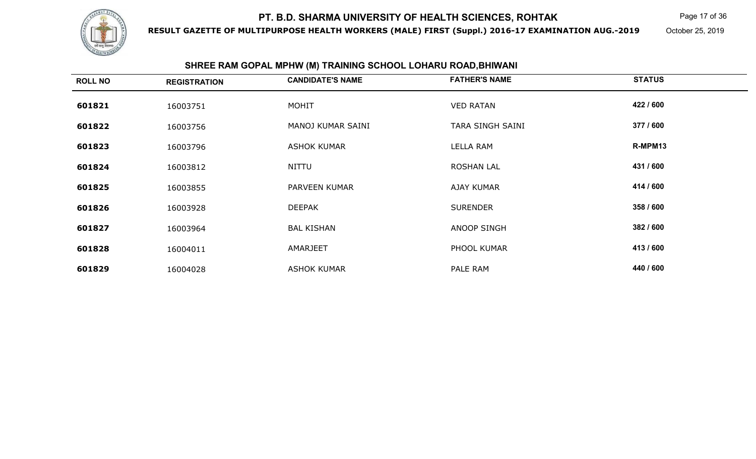

**RESULT GAZETTE OF MULTIPURPOSE HEALTH WORKERS (MALE) FIRST (Suppl.) 2016-17 EXAMINATION AUG.-2019**

Page 17 of 36

October 25, 2019

# **SHREE RAM GOPAL MPHW (M) TRAINING SCHOOL LOHARU ROAD,BHIWANI**

| <b>ROLL NO</b> | <b>REGISTRATION</b> | <b>CANDIDATE'S NAME</b> | <b>FATHER'S NAME</b> | <b>STATUS</b> |
|----------------|---------------------|-------------------------|----------------------|---------------|
| 601821         | 16003751            | <b>MOHIT</b>            | <b>VED RATAN</b>     | 422 / 600     |
| 601822         | 16003756            | MANOJ KUMAR SAINI       | TARA SINGH SAINI     | 377 / 600     |
| 601823         | 16003796            | <b>ASHOK KUMAR</b>      | LELLA RAM            | R-MPM13       |
| 601824         | 16003812            | <b>NITTU</b>            | <b>ROSHAN LAL</b>    | 431 / 600     |
| 601825         | 16003855            | PARVEEN KUMAR           | <b>AJAY KUMAR</b>    | 414 / 600     |
| 601826         | 16003928            | <b>DEEPAK</b>           | <b>SURENDER</b>      | 358 / 600     |
| 601827         | 16003964            | <b>BAL KISHAN</b>       | <b>ANOOP SINGH</b>   | 382 / 600     |
| 601828         | 16004011            | AMARJEET                | PHOOL KUMAR          | 413/600       |
| 601829         | 16004028            | <b>ASHOK KUMAR</b>      | PALE RAM             | 440 / 600     |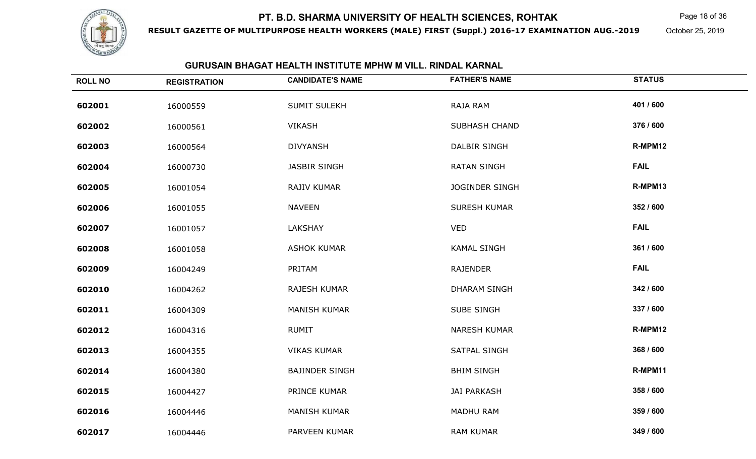

**RESULT GAZETTE OF MULTIPURPOSE HEALTH WORKERS (MALE) FIRST (Suppl.) 2016-17 EXAMINATION AUG.-2019**

Page 18 of 36

October 25, 2019

#### **GURUSAIN BHAGAT HEALTH INSTITUTE MPHW M VILL. RINDAL KARNAL**

| <b>ROLL NO</b> | <b>REGISTRATION</b> | <b>CANDIDATE'S NAME</b> | <b>FATHER'S NAME</b>  | <b>STATUS</b> |
|----------------|---------------------|-------------------------|-----------------------|---------------|
| 602001         | 16000559            | <b>SUMIT SULEKH</b>     | RAJA RAM              | 401 / 600     |
| 602002         | 16000561            | <b>VIKASH</b>           | <b>SUBHASH CHAND</b>  | 376 / 600     |
| 602003         | 16000564            | <b>DIVYANSH</b>         | <b>DALBIR SINGH</b>   | R-MPM12       |
| 602004         | 16000730            | <b>JASBIR SINGH</b>     | <b>RATAN SINGH</b>    | <b>FAIL</b>   |
| 602005         | 16001054            | RAJIV KUMAR             | <b>JOGINDER SINGH</b> | R-MPM13       |
| 602006         | 16001055            | <b>NAVEEN</b>           | <b>SURESH KUMAR</b>   | 352 / 600     |
| 602007         | 16001057            | LAKSHAY                 | <b>VED</b>            | <b>FAIL</b>   |
| 602008         | 16001058            | <b>ASHOK KUMAR</b>      | <b>KAMAL SINGH</b>    | 361 / 600     |
| 602009         | 16004249            | PRITAM                  | <b>RAJENDER</b>       | <b>FAIL</b>   |
| 602010         | 16004262            | RAJESH KUMAR            | <b>DHARAM SINGH</b>   | 342 / 600     |
| 602011         | 16004309            | <b>MANISH KUMAR</b>     | <b>SUBE SINGH</b>     | 337 / 600     |
| 602012         | 16004316            | <b>RUMIT</b>            | <b>NARESH KUMAR</b>   | R-MPM12       |
| 602013         | 16004355            | <b>VIKAS KUMAR</b>      | <b>SATPAL SINGH</b>   | 368 / 600     |
| 602014         | 16004380            | <b>BAJINDER SINGH</b>   | <b>BHIM SINGH</b>     | R-MPM11       |
| 602015         | 16004427            | PRINCE KUMAR            | <b>JAI PARKASH</b>    | 358 / 600     |
| 602016         | 16004446            | <b>MANISH KUMAR</b>     | <b>MADHU RAM</b>      | 359 / 600     |
| 602017         | 16004446            | PARVEEN KUMAR           | <b>RAM KUMAR</b>      | 349 / 600     |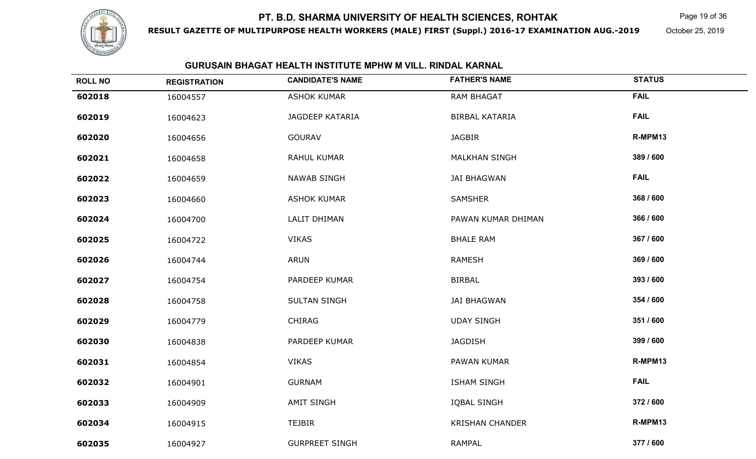

**RESULT GAZETTE OF MULTIPURPOSE HEALTH WORKERS (MALE) FIRST (Suppl.) 2016-17 EXAMINATION AUG.-2019**

Page 19 of 36

October 25, 2019

### **GURUSAIN BHAGAT HEALTH INSTITUTE MPHW M VILL. RINDAL KARNAL**

| <b>ROLL NO</b> | <b>REGISTRATION</b> | <b>CANDIDATE'S NAME</b> | <b>FATHER'S NAME</b>   | <b>STATUS</b> |
|----------------|---------------------|-------------------------|------------------------|---------------|
| 602018         | 16004557            | <b>ASHOK KUMAR</b>      | <b>RAM BHAGAT</b>      | <b>FAIL</b>   |
| 602019         | 16004623            | <b>JAGDEEP KATARIA</b>  | <b>BIRBAL KATARIA</b>  | <b>FAIL</b>   |
| 602020         | 16004656            | <b>GOURAV</b>           | <b>JAGBIR</b>          | R-MPM13       |
| 602021         | 16004658            | RAHUL KUMAR             | <b>MALKHAN SINGH</b>   | 389 / 600     |
| 602022         | 16004659            | <b>NAWAB SINGH</b>      | <b>JAI BHAGWAN</b>     | <b>FAIL</b>   |
| 602023         | 16004660            | <b>ASHOK KUMAR</b>      | <b>SAMSHER</b>         | 368 / 600     |
| 602024         | 16004700            | LALIT DHIMAN            | PAWAN KUMAR DHIMAN     | 366 / 600     |
| 602025         | 16004722            | <b>VIKAS</b>            | <b>BHALE RAM</b>       | 367 / 600     |
| 602026         | 16004744            | <b>ARUN</b>             | <b>RAMESH</b>          | 369 / 600     |
| 602027         | 16004754            | PARDEEP KUMAR           | <b>BIRBAL</b>          | 393 / 600     |
| 602028         | 16004758            | <b>SULTAN SINGH</b>     | <b>JAI BHAGWAN</b>     | 354 / 600     |
| 602029         | 16004779            | <b>CHIRAG</b>           | <b>UDAY SINGH</b>      | 351 / 600     |
| 602030         | 16004838            | PARDEEP KUMAR           | <b>JAGDISH</b>         | 399 / 600     |
| 602031         | 16004854            | <b>VIKAS</b>            | PAWAN KUMAR            | R-MPM13       |
| 602032         | 16004901            | <b>GURNAM</b>           | <b>ISHAM SINGH</b>     | <b>FAIL</b>   |
| 602033         | 16004909            | <b>AMIT SINGH</b>       | <b>IQBAL SINGH</b>     | 372 / 600     |
| 602034         | 16004915            | <b>TEJBIR</b>           | <b>KRISHAN CHANDER</b> | R-MPM13       |
| 602035         | 16004927            | <b>GURPREET SINGH</b>   | <b>RAMPAL</b>          | 377 / 600     |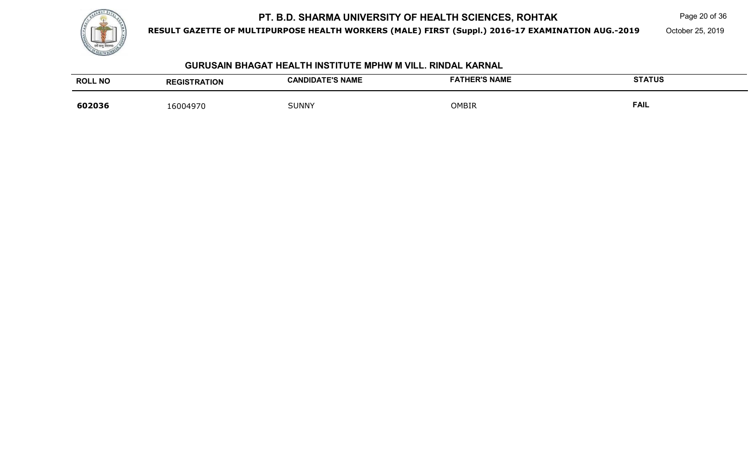

**RESULT GAZETTE OF MULTIPURPOSE HEALTH WORKERS (MALE) FIRST (Suppl.) 2016-17 EXAMINATION AUG.-2019**

Page 20 of 36

October 25, 2019

#### **GURUSAIN BHAGAT HEALTH INSTITUTE MPHW M VILL. RINDAL KARNAL**

| <b>ROLL NO</b> | <b>REGISTRATION</b> | <b>CANDIDATE'S NAME</b> | <b>FATHER'S NAME</b> | <b>STATUS</b> |
|----------------|---------------------|-------------------------|----------------------|---------------|
| 602036         | 16004970            | <b>SUNNY</b>            | OMBIR                | <b>FAIL</b>   |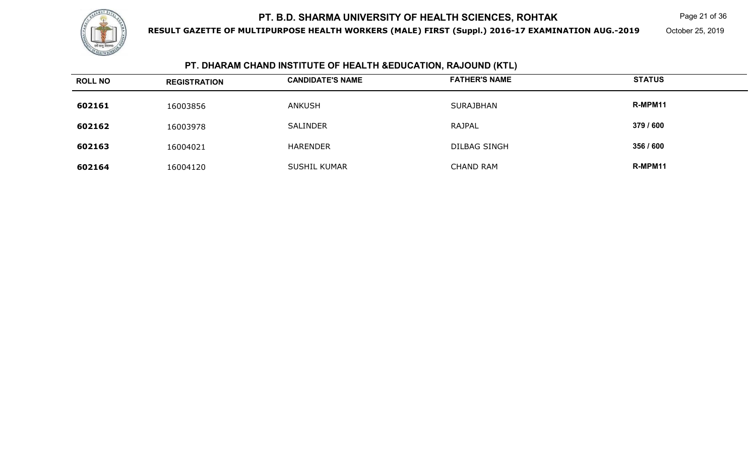

**RESULT GAZETTE OF MULTIPURPOSE HEALTH WORKERS (MALE) FIRST (Suppl.) 2016-17 EXAMINATION AUG.-2019**

Page 21 of 36

October 25, 2019

## **PT. DHARAM CHAND INSTITUTE OF HEALTH &EDUCATION, RAJOUND (KTL)**

| <b>ROLL NO</b> | <b>REGISTRATION</b> | <b>CANDIDATE'S NAME</b> | <b>FATHER'S NAME</b> | <b>STATUS</b> |
|----------------|---------------------|-------------------------|----------------------|---------------|
| 602161         | 16003856            | <b>ANKUSH</b>           | SURAJBHAN            | R-MPM11       |
| 602162         | 16003978            | <b>SALINDER</b>         | RAJPAL               | 379 / 600     |
| 602163         | 16004021            | HARENDER                | <b>DILBAG SINGH</b>  | 356 / 600     |
| 602164         | 16004120            | <b>SUSHIL KUMAR</b>     | <b>CHAND RAM</b>     | R-MPM11       |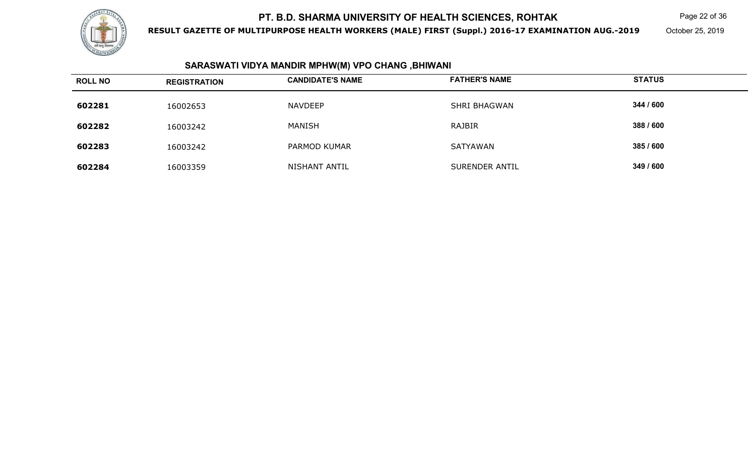

**RESULT GAZETTE OF MULTIPURPOSE HEALTH WORKERS (MALE) FIRST (Suppl.) 2016-17 EXAMINATION AUG.-2019**

Page 22 of 36

October 25, 2019

#### **SARASWATI VIDYA MANDIR MPHW(M) VPO CHANG ,BHIWANI**

| <b>ROLL NO</b> | <b>REGISTRATION</b> | <b>CANDIDATE'S NAME</b> | <b>FATHER'S NAME</b> | <b>STATUS</b> |
|----------------|---------------------|-------------------------|----------------------|---------------|
| 602281         | 16002653            | <b>NAVDEEP</b>          | SHRI BHAGWAN         | 344 / 600     |
| 602282         | 16003242            | MANISH                  | RAJBIR               | 388 / 600     |
| 602283         | 16003242            | PARMOD KUMAR            | SATYAWAN             | 385 / 600     |
| 602284         | 16003359            | NISHANT ANTIL           | SURENDER ANTIL       | 349 / 600     |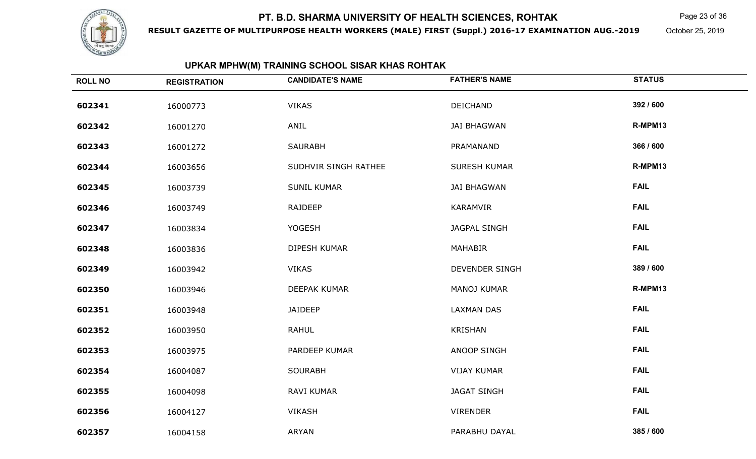

**RESULT GAZETTE OF MULTIPURPOSE HEALTH WORKERS (MALE) FIRST (Suppl.) 2016-17 EXAMINATION AUG.-2019**

Page 23 of 36

October 25, 2019

## **UPKAR MPHW(M) TRAINING SCHOOL SISAR KHAS ROHTAK**

| <b>ROLL NO</b> | <b>REGISTRATION</b> | <b>CANDIDATE'S NAME</b> | <b>FATHER'S NAME</b>  | <b>STATUS</b> |
|----------------|---------------------|-------------------------|-----------------------|---------------|
| 602341         | 16000773            | <b>VIKAS</b>            | DEICHAND              | 392 / 600     |
| 602342         | 16001270            | ANIL                    | <b>JAI BHAGWAN</b>    | R-MPM13       |
| 602343         | 16001272            | <b>SAURABH</b>          | PRAMANAND             | 366 / 600     |
| 602344         | 16003656            | SUDHVIR SINGH RATHEE    | <b>SURESH KUMAR</b>   | R-MPM13       |
| 602345         | 16003739            | <b>SUNIL KUMAR</b>      | <b>JAI BHAGWAN</b>    | <b>FAIL</b>   |
| 602346         | 16003749            | RAJDEEP                 | KARAMVIR              | <b>FAIL</b>   |
| 602347         | 16003834            | <b>YOGESH</b>           | <b>JAGPAL SINGH</b>   | <b>FAIL</b>   |
| 602348         | 16003836            | <b>DIPESH KUMAR</b>     | <b>MAHABIR</b>        | <b>FAIL</b>   |
| 602349         | 16003942            | <b>VIKAS</b>            | <b>DEVENDER SINGH</b> | 389 / 600     |
| 602350         | 16003946            | DEEPAK KUMAR            | MANOJ KUMAR           | R-MPM13       |
| 602351         | 16003948            | JAIDEEP                 | <b>LAXMAN DAS</b>     | <b>FAIL</b>   |
| 602352         | 16003950            | <b>RAHUL</b>            | <b>KRISHAN</b>        | <b>FAIL</b>   |
| 602353         | 16003975            | PARDEEP KUMAR           | <b>ANOOP SINGH</b>    | <b>FAIL</b>   |
| 602354         | 16004087            | <b>SOURABH</b>          | <b>VIJAY KUMAR</b>    | <b>FAIL</b>   |
| 602355         | 16004098            | RAVI KUMAR              | <b>JAGAT SINGH</b>    | <b>FAIL</b>   |
| 602356         | 16004127            | <b>VIKASH</b>           | <b>VIRENDER</b>       | <b>FAIL</b>   |
| 602357         | 16004158            | ARYAN                   | PARABHU DAYAL         | 385 / 600     |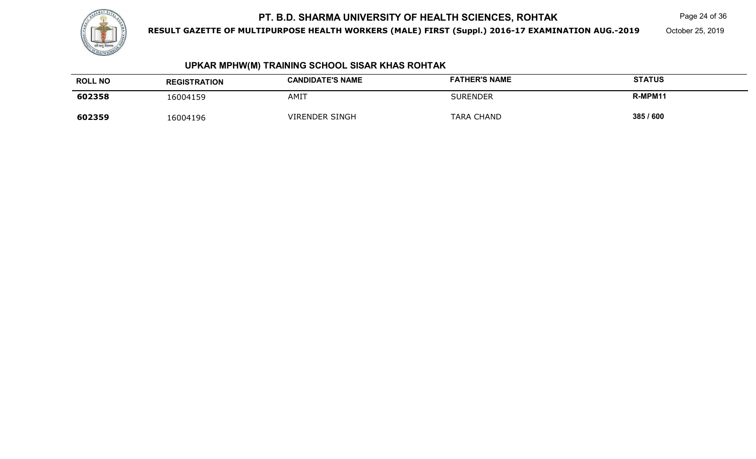

**RESULT GAZETTE OF MULTIPURPOSE HEALTH WORKERS (MALE) FIRST (Suppl.) 2016-17 EXAMINATION AUG.-2019**

Page 24 of 36

October 25, 2019

## **UPKAR MPHW(M) TRAINING SCHOOL SISAR KHAS ROHTAK**

| <b>ROLL NO</b> | <b>REGISTRATION</b> | <b>CANDIDATE'S NAME</b> | <b>FATHER'S NAME</b> | <b>STATUS</b> |
|----------------|---------------------|-------------------------|----------------------|---------------|
| 602358         | 6004159             | AMIT                    | SURENDER             | R-MPM11       |
| 602359         | 16004196            | <b>VIRENDER SINGH</b>   | TARA CHAND           | 385 / 600     |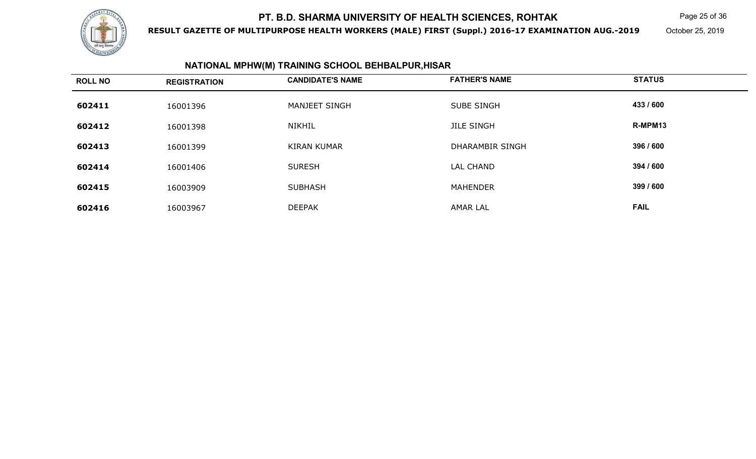

**RESULT GAZETTE OF MULTIPURPOSE HEALTH WORKERS (MALE) FIRST (Suppl.) 2016-17 EXAMINATION AUG.-2019**

Page 25 of 36

October 25, 2019

## **NATIONAL MPHW(M) TRAINING SCHOOL BEHBALPUR,HISAR**

| <b>ROLL NO</b> | <b>REGISTRATION</b> | <b>CANDIDATE'S NAME</b> | <b>FATHER'S NAME</b>   | <b>STATUS</b> |
|----------------|---------------------|-------------------------|------------------------|---------------|
| 602411         | 16001396            | MANJEET SINGH           | <b>SUBE SINGH</b>      | 433 / 600     |
| 602412         | 16001398            | <b>NIKHIL</b>           | <b>JILE SINGH</b>      | R-MPM13       |
| 602413         | 16001399            | <b>KIRAN KUMAR</b>      | <b>DHARAMBIR SINGH</b> | 396 / 600     |
| 602414         | 16001406            | <b>SURESH</b>           | <b>LAL CHAND</b>       | 394 / 600     |
| 602415         | 16003909            | <b>SUBHASH</b>          | <b>MAHENDER</b>        | 399 / 600     |
| 602416         | 16003967            | <b>DEEPAK</b>           | <b>AMAR LAL</b>        | <b>FAIL</b>   |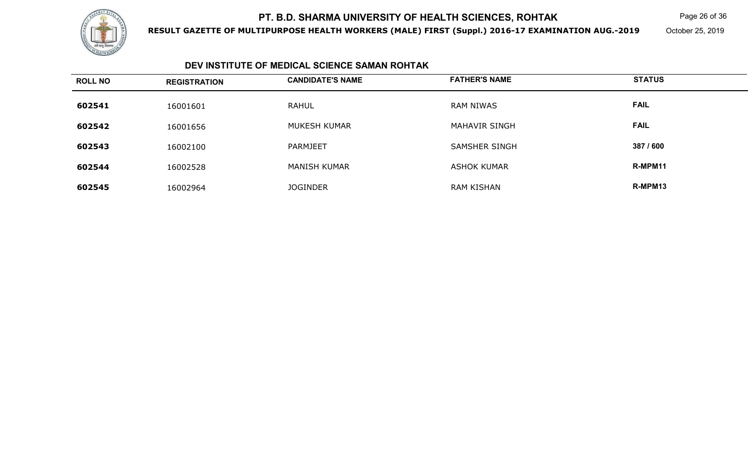

**RESULT GAZETTE OF MULTIPURPOSE HEALTH WORKERS (MALE) FIRST (Suppl.) 2016-17 EXAMINATION AUG.-2019**

Page 26 of 36

October 25, 2019

### **DEV INSTITUTE OF MEDICAL SCIENCE SAMAN ROHTAK**

| <b>ROLL NO</b> | <b>REGISTRATION</b> | <b>CANDIDATE'S NAME</b> | <b>FATHER'S NAME</b> | <b>STATUS</b> |
|----------------|---------------------|-------------------------|----------------------|---------------|
| 602541         | 16001601            | <b>RAHUL</b>            | <b>RAM NIWAS</b>     | <b>FAIL</b>   |
| 602542         | 16001656            | MUKESH KUMAR            | <b>MAHAVIR SINGH</b> | <b>FAIL</b>   |
| 602543         | 16002100            | PARMJEET                | <b>SAMSHER SINGH</b> | 387 / 600     |
| 602544         | 16002528            | <b>MANISH KUMAR</b>     | <b>ASHOK KUMAR</b>   | R-MPM11       |
| 602545         | 16002964            | <b>JOGINDER</b>         | <b>RAM KISHAN</b>    | R-MPM13       |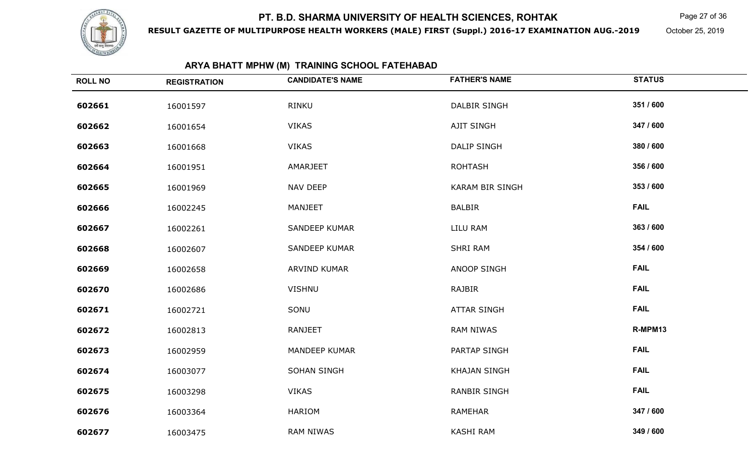

**RESULT GAZETTE OF MULTIPURPOSE HEALTH WORKERS (MALE) FIRST (Suppl.) 2016-17 EXAMINATION AUG.-2019**

Page 27 of 36

October 25, 2019

## **ARYA BHATT MPHW (M) TRAINING SCHOOL FATEHABAD**

| <b>ROLL NO</b> | <b>REGISTRATION</b> | <b>CANDIDATE'S NAME</b> | <b>FATHER'S NAME</b> | <b>STATUS</b> |
|----------------|---------------------|-------------------------|----------------------|---------------|
| 602661         | 16001597            | <b>RINKU</b>            | <b>DALBIR SINGH</b>  | 351 / 600     |
| 602662         | 16001654            | <b>VIKAS</b>            | AJIT SINGH           | 347 / 600     |
| 602663         | 16001668            | <b>VIKAS</b>            | <b>DALIP SINGH</b>   | 380 / 600     |
| 602664         | 16001951            | AMARJEET                | <b>ROHTASH</b>       | 356 / 600     |
| 602665         | 16001969            | <b>NAV DEEP</b>         | KARAM BIR SINGH      | 353 / 600     |
| 602666         | 16002245            | <b>MANJEET</b>          | <b>BALBIR</b>        | <b>FAIL</b>   |
| 602667         | 16002261            | <b>SANDEEP KUMAR</b>    | LILU RAM             | 363 / 600     |
| 602668         | 16002607            | <b>SANDEEP KUMAR</b>    | <b>SHRI RAM</b>      | 354 / 600     |
| 602669         | 16002658            | ARVIND KUMAR            | <b>ANOOP SINGH</b>   | <b>FAIL</b>   |
| 602670         | 16002686            | <b>VISHNU</b>           | <b>RAJBIR</b>        | <b>FAIL</b>   |
| 602671         | 16002721            | SONU                    | <b>ATTAR SINGH</b>   | <b>FAIL</b>   |
| 602672         | 16002813            | RANJEET                 | <b>RAM NIWAS</b>     | R-MPM13       |
| 602673         | 16002959            | <b>MANDEEP KUMAR</b>    | PARTAP SINGH         | <b>FAIL</b>   |
| 602674         | 16003077            | SOHAN SINGH             | <b>KHAJAN SINGH</b>  | <b>FAIL</b>   |
| 602675         | 16003298            | <b>VIKAS</b>            | <b>RANBIR SINGH</b>  | <b>FAIL</b>   |
| 602676         | 16003364            | <b>HARIOM</b>           | <b>RAMEHAR</b>       | 347 / 600     |
| 602677         | 16003475            | <b>RAM NIWAS</b>        | KASHI RAM            | 349 / 600     |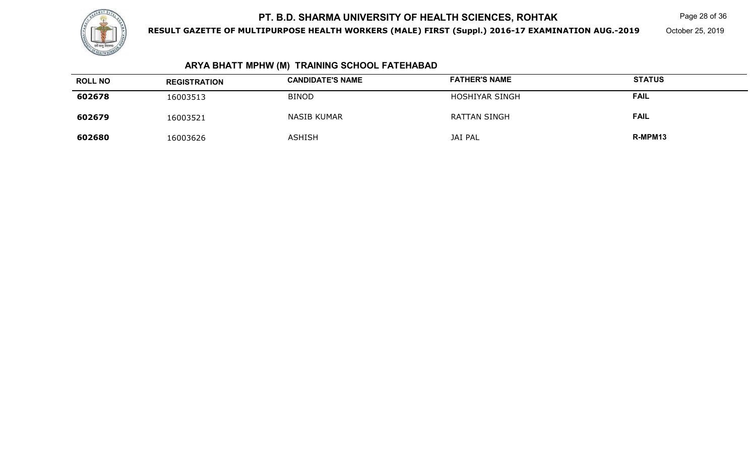

**RESULT GAZETTE OF MULTIPURPOSE HEALTH WORKERS (MALE) FIRST (Suppl.) 2016-17 EXAMINATION AUG.-2019**

Page 28 of 36

October 25, 2019

## **ARYA BHATT MPHW (M) TRAINING SCHOOL FATEHABAD**

| <b>ROLL NO</b> | <b>REGISTRATION</b> | <b>CANDIDATE'S NAME</b> | <b>FATHER'S NAME</b> | <b>STATUS</b> |
|----------------|---------------------|-------------------------|----------------------|---------------|
| 602678         | 16003513            | <b>BINOD</b>            | HOSHIYAR SINGH       | <b>FAIL</b>   |
| 602679         | 16003521            | <b>NASIB KUMAR</b>      | <b>RATTAN SINGH</b>  | <b>FAIL</b>   |
| 602680         | 16003626            | <b>ASHISH</b>           | <b>JAI PAL</b>       | R-MPM13       |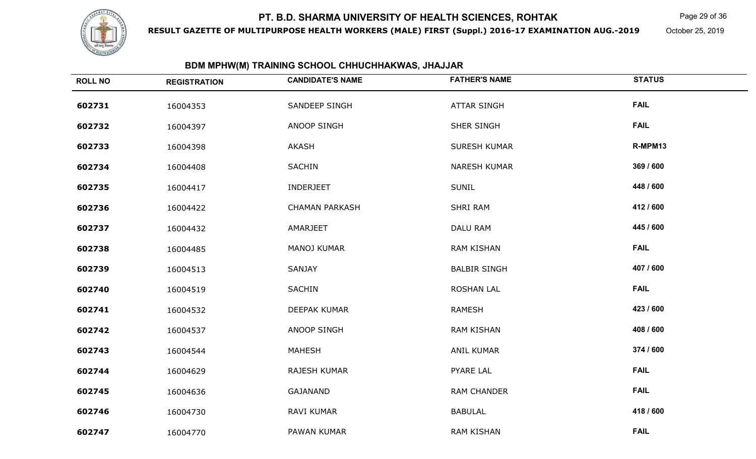

**RESULT GAZETTE OF MULTIPURPOSE HEALTH WORKERS (MALE) FIRST (Suppl.) 2016-17 EXAMINATION AUG.-2019**

Page 29 of 36

October 25, 2019

## **BDM MPHW(M) TRAINING SCHOOL CHHUCHHAKWAS, JHAJJAR**

| <b>ROLL NO</b> | <b>REGISTRATION</b> | <b>CANDIDATE'S NAME</b> | <b>FATHER'S NAME</b> | <b>STATUS</b> |
|----------------|---------------------|-------------------------|----------------------|---------------|
| 602731         | 16004353            | SANDEEP SINGH           | <b>ATTAR SINGH</b>   | <b>FAIL</b>   |
| 602732         | 16004397            | ANOOP SINGH             | SHER SINGH           | <b>FAIL</b>   |
| 602733         | 16004398            | AKASH                   | SURESH KUMAR         | R-MPM13       |
| 602734         | 16004408            | <b>SACHIN</b>           | <b>NARESH KUMAR</b>  | 369 / 600     |
| 602735         | 16004417            | INDERJEET               | <b>SUNIL</b>         | 448 / 600     |
| 602736         | 16004422            | <b>CHAMAN PARKASH</b>   | <b>SHRI RAM</b>      | 412 / 600     |
| 602737         | 16004432            | AMARJEET                | DALU RAM             | 445 / 600     |
| 602738         | 16004485            | MANOJ KUMAR             | <b>RAM KISHAN</b>    | <b>FAIL</b>   |
| 602739         | 16004513            | SANJAY                  | <b>BALBIR SINGH</b>  | 407 / 600     |
| 602740         | 16004519            | SACHIN                  | <b>ROSHAN LAL</b>    | <b>FAIL</b>   |
| 602741         | 16004532            | DEEPAK KUMAR            | RAMESH               | 423 / 600     |
| 602742         | 16004537            | ANOOP SINGH             | <b>RAM KISHAN</b>    | 408 / 600     |
| 602743         | 16004544            | <b>MAHESH</b>           | <b>ANIL KUMAR</b>    | 374 / 600     |
| 602744         | 16004629            | RAJESH KUMAR            | PYARE LAL            | <b>FAIL</b>   |
| 602745         | 16004636            | <b>GAJANAND</b>         | <b>RAM CHANDER</b>   | <b>FAIL</b>   |
| 602746         | 16004730            | RAVI KUMAR              | <b>BABULAL</b>       | 418 / 600     |
| 602747         | 16004770            | PAWAN KUMAR             | <b>RAM KISHAN</b>    | <b>FAIL</b>   |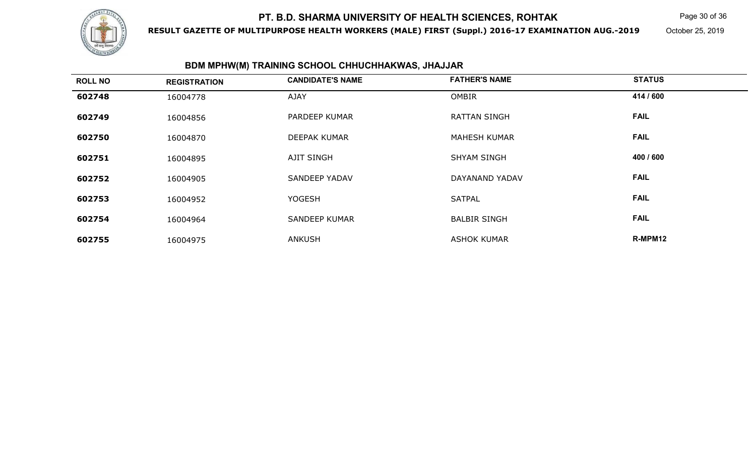

**RESULT GAZETTE OF MULTIPURPOSE HEALTH WORKERS (MALE) FIRST (Suppl.) 2016-17 EXAMINATION AUG.-2019**

Page 30 of 36

October 25, 2019

## **BDM MPHW(M) TRAINING SCHOOL CHHUCHHAKWAS, JHAJJAR**

| <b>ROLL NO</b> | <b>REGISTRATION</b> | <b>CANDIDATE'S NAME</b> | <b>FATHER'S NAME</b> | <b>STATUS</b> |  |
|----------------|---------------------|-------------------------|----------------------|---------------|--|
| 602748         | 16004778            | <b>AJAY</b>             | <b>OMBIR</b>         | 414 / 600     |  |
| 602749         | 16004856            | PARDEEP KUMAR           | <b>RATTAN SINGH</b>  | <b>FAIL</b>   |  |
| 602750         | 16004870            | <b>DEEPAK KUMAR</b>     | <b>MAHESH KUMAR</b>  | <b>FAIL</b>   |  |
| 602751         | 16004895            | <b>AJIT SINGH</b>       | <b>SHYAM SINGH</b>   | 400 / 600     |  |
| 602752         | 16004905            | <b>SANDEEP YADAV</b>    | DAYANAND YADAV       | <b>FAIL</b>   |  |
| 602753         | 16004952            | <b>YOGESH</b>           | <b>SATPAL</b>        | <b>FAIL</b>   |  |
| 602754         | 16004964            | <b>SANDEEP KUMAR</b>    | <b>BALBIR SINGH</b>  | <b>FAIL</b>   |  |
| 602755         | 16004975            | <b>ANKUSH</b>           | <b>ASHOK KUMAR</b>   | R-MPM12       |  |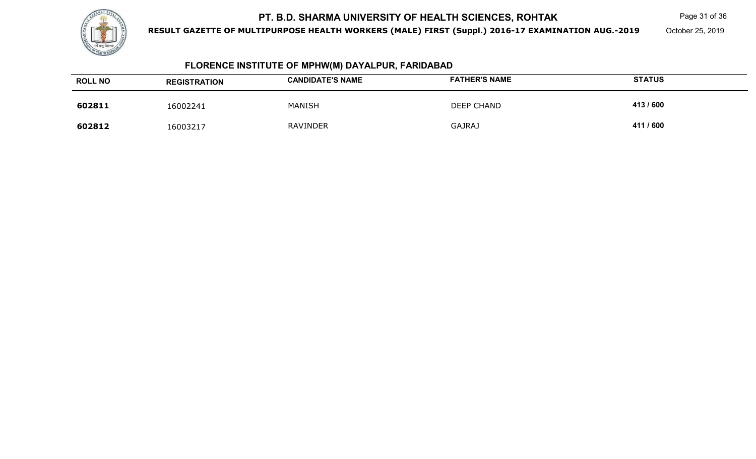

**RESULT GAZETTE OF MULTIPURPOSE HEALTH WORKERS (MALE) FIRST (Suppl.) 2016-17 EXAMINATION AUG.-2019**

Page 31 of 36

October 25, 2019

## **FLORENCE INSTITUTE OF MPHW(M) DAYALPUR, FARIDABAD**

| <b>ROLL NO</b> | <b>REGISTRATION</b> | <b>CANDIDATE'S NAME</b> | <b>FATHER'S NAME</b> | <b>STATUS</b> |
|----------------|---------------------|-------------------------|----------------------|---------------|
| 602811         | 16002241            | <b>MANISH</b>           | DEEP CHAND           | 413/600       |
| 602812         | 16003217            | <b>RAVINDER</b>         | <b>GAJRAJ</b>        | 411 / 600     |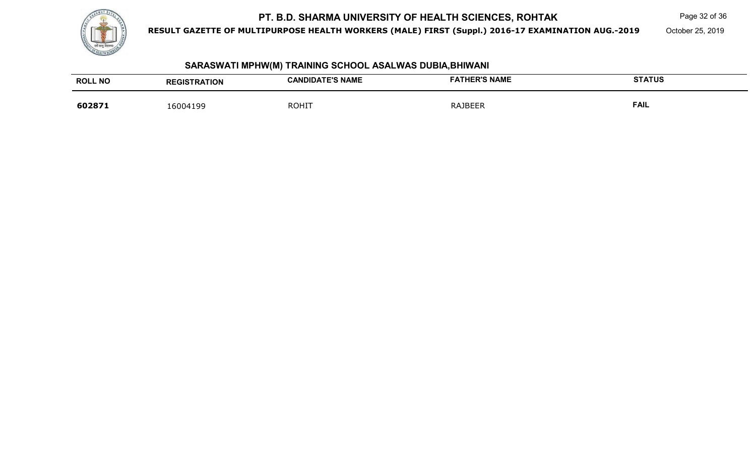

**RESULT GAZETTE OF MULTIPURPOSE HEALTH WORKERS (MALE) FIRST (Suppl.) 2016-17 EXAMINATION AUG.-2019**

Page 32 of 36

October 25, 2019

### **SARASWATI MPHW(M) TRAINING SCHOOL ASALWAS DUBIA,BHIWANI**

| <b>ROLL NO</b> | <b>REGISTRATION</b> | <b>CANDIDATE'S NAME</b> | <b>FATHER'S NAME</b> | <b>STATUS</b> |
|----------------|---------------------|-------------------------|----------------------|---------------|
| 602871         | 16004199            | <b>ROHIT</b>            | <b>RAJBEER</b>       | <b>FAIL</b>   |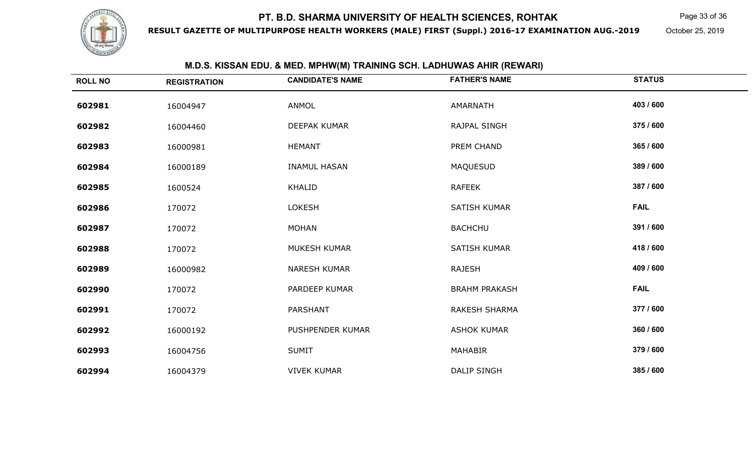

**RESULT GAZETTE OF MULTIPURPOSE HEALTH WORKERS (MALE) FIRST (Suppl.) 2016-17 EXAMINATION AUG.-2019**

Page 33 of 36

October 25, 2019

| <b>M.D.O. NIJOAN LDU. &amp; MLD. MFTHV(M) TNAINING JOH. LADHUVYAJ AHIN (NLVYANI)</b> |                     |                         |                      |               |
|--------------------------------------------------------------------------------------|---------------------|-------------------------|----------------------|---------------|
| <b>ROLL NO</b>                                                                       | <b>REGISTRATION</b> | <b>CANDIDATE'S NAME</b> | <b>FATHER'S NAME</b> | <b>STATUS</b> |
| 602981                                                                               | 16004947            | ANMOL                   | AMARNATH             | 403 / 600     |
| 602982                                                                               | 16004460            | DEEPAK KUMAR            | RAJPAL SINGH         | 375 / 600     |
| 602983                                                                               | 16000981            | <b>HEMANT</b>           | PREM CHAND           | 365 / 600     |
| 602984                                                                               | 16000189            | <b>INAMUL HASAN</b>     | <b>MAQUESUD</b>      | 389 / 600     |
| 602985                                                                               | 1600524             | KHALID                  | <b>RAFEEK</b>        | 387 / 600     |
| 602986                                                                               | 170072              | <b>LOKESH</b>           | <b>SATISH KUMAR</b>  | <b>FAIL</b>   |
| 602987                                                                               | 170072              | <b>MOHAN</b>            | <b>BACHCHU</b>       | 391 / 600     |
| 602988                                                                               | 170072              | MUKESH KUMAR            | <b>SATISH KUMAR</b>  | 418 / 600     |
| 602989                                                                               | 16000982            | NARESH KUMAR            | <b>RAJESH</b>        | 409 / 600     |
| 602990                                                                               | 170072              | PARDEEP KUMAR           | <b>BRAHM PRAKASH</b> | <b>FAIL</b>   |
| 602991                                                                               | 170072              | <b>PARSHANT</b>         | <b>RAKESH SHARMA</b> | 377 / 600     |
| 602992                                                                               | 16000192            | PUSHPENDER KUMAR        | <b>ASHOK KUMAR</b>   | 360 / 600     |
| 602993                                                                               | 16004756            | <b>SUMIT</b>            | MAHABIR              | 379 / 600     |
| 602994                                                                               | 16004379            | <b>VIVEK KUMAR</b>      | DALIP SINGH          | 385 / 600     |

#### **M.D.S. KISSAN EDU. & MED. MPHW(M) TRAINING SCH. LADHUWAS AHIR (REWARI)**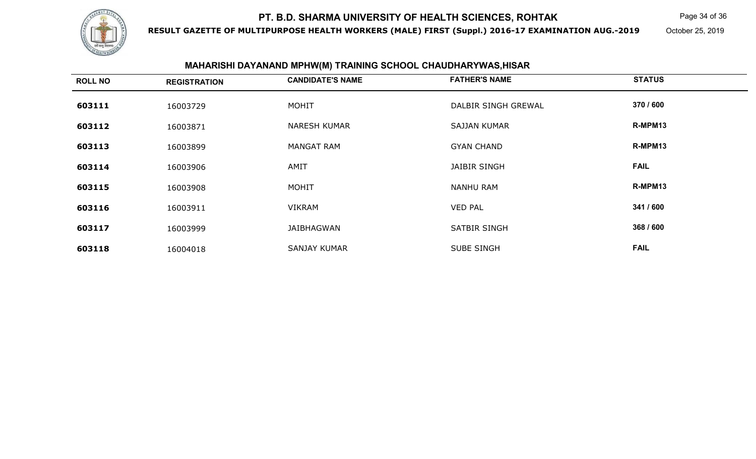

**RESULT GAZETTE OF MULTIPURPOSE HEALTH WORKERS (MALE) FIRST (Suppl.) 2016-17 EXAMINATION AUG.-2019**

Page 34 of 36

October 25, 2019

## **MAHARISHI DAYANAND MPHW(M) TRAINING SCHOOL CHAUDHARYWAS,HISAR**

| <b>ROLL NO</b> | <b>REGISTRATION</b> | <b>CANDIDATE'S NAME</b> | <b>FATHER'S NAME</b> | <b>STATUS</b> |
|----------------|---------------------|-------------------------|----------------------|---------------|
| 603111         | 16003729            | <b>MOHIT</b>            | DALBIR SINGH GREWAL  | 370 / 600     |
| 603112         | 16003871            | <b>NARESH KUMAR</b>     | <b>SAJJAN KUMAR</b>  | R-MPM13       |
| 603113         | 16003899            | <b>MANGAT RAM</b>       | <b>GYAN CHAND</b>    | R-MPM13       |
| 603114         | 16003906            | AMIT                    | <b>JAIBIR SINGH</b>  | <b>FAIL</b>   |
| 603115         | 16003908            | <b>MOHIT</b>            | <b>NANHU RAM</b>     | R-MPM13       |
| 603116         | 16003911            | <b>VIKRAM</b>           | <b>VED PAL</b>       | 341 / 600     |
| 603117         | 16003999            | JAIBHAGWAN              | <b>SATBIR SINGH</b>  | 368 / 600     |
| 603118         | 16004018            | <b>SANJAY KUMAR</b>     | <b>SUBE SINGH</b>    | <b>FAIL</b>   |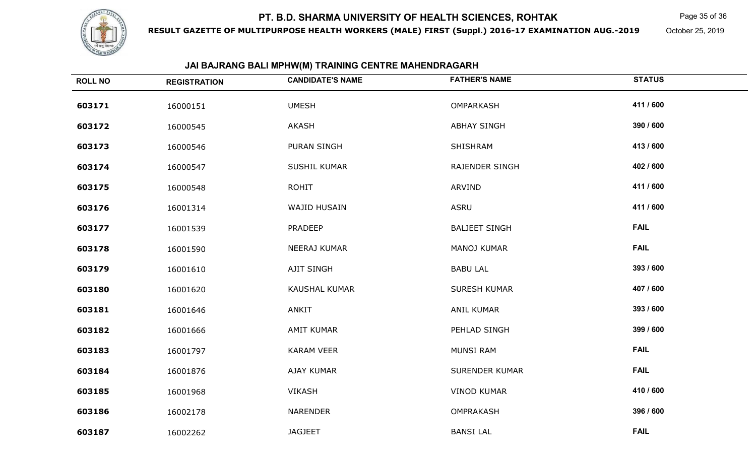

**RESULT GAZETTE OF MULTIPURPOSE HEALTH WORKERS (MALE) FIRST (Suppl.) 2016-17 EXAMINATION AUG.-2019**

Page 35 of 36

October 25, 2019

## **JAI BAJRANG BALI MPHW(M) TRAINING CENTRE MAHENDRAGARH**

| <b>ROLL NO</b> | <b>REGISTRATION</b> | <b>CANDIDATE'S NAME</b> | <b>FATHER'S NAME</b>  | <b>STATUS</b> |
|----------------|---------------------|-------------------------|-----------------------|---------------|
| 603171         | 16000151            | <b>UMESH</b>            | OMPARKASH             | 411 / 600     |
| 603172         | 16000545            | AKASH                   | <b>ABHAY SINGH</b>    | 390 / 600     |
| 603173         | 16000546            | PURAN SINGH             | SHISHRAM              | 413 / 600     |
| 603174         | 16000547            | SUSHIL KUMAR            | RAJENDER SINGH        | 402 / 600     |
| 603175         | 16000548            | <b>ROHIT</b>            | ARVIND                | 411 / 600     |
| 603176         | 16001314            | WAJID HUSAIN            | <b>ASRU</b>           | 411 / 600     |
| 603177         | 16001539            | <b>PRADEEP</b>          | <b>BALJEET SINGH</b>  | <b>FAIL</b>   |
| 603178         | 16001590            | NEERAJ KUMAR            | MANOJ KUMAR           | <b>FAIL</b>   |
| 603179         | 16001610            | AJIT SINGH              | <b>BABU LAL</b>       | 393 / 600     |
| 603180         | 16001620            | <b>KAUSHAL KUMAR</b>    | <b>SURESH KUMAR</b>   | 407 / 600     |
| 603181         | 16001646            | ANKIT                   | ANIL KUMAR            | 393 / 600     |
| 603182         | 16001666            | <b>AMIT KUMAR</b>       | PEHLAD SINGH          | 399 / 600     |
| 603183         | 16001797            | <b>KARAM VEER</b>       | MUNSI RAM             | <b>FAIL</b>   |
| 603184         | 16001876            | AJAY KUMAR              | <b>SURENDER KUMAR</b> | <b>FAIL</b>   |
| 603185         | 16001968            | <b>VIKASH</b>           | <b>VINOD KUMAR</b>    | 410 / 600     |
| 603186         | 16002178            | <b>NARENDER</b>         | OMPRAKASH             | 396 / 600     |
| 603187         | 16002262            | <b>JAGJEET</b>          | <b>BANSI LAL</b>      | <b>FAIL</b>   |